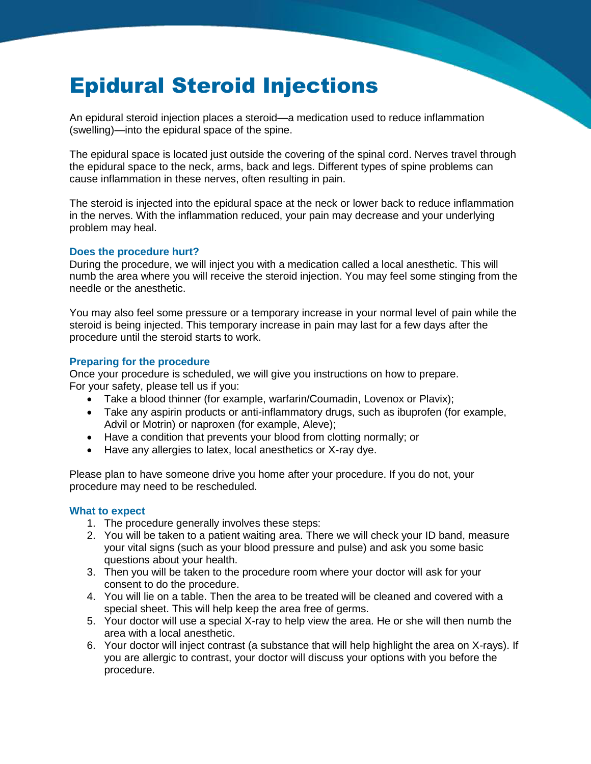# Epidural Steroid Injections

An epidural steroid injection places a steroid—a medication used to reduce inflammation (swelling)—into the epidural space of the spine.

The epidural space is located just outside the covering of the spinal cord. Nerves travel through the epidural space to the neck, arms, back and legs. Different types of spine problems can cause inflammation in these nerves, often resulting in pain.

The steroid is injected into the epidural space at the neck or lower back to reduce inflammation in the nerves. With the inflammation reduced, your pain may decrease and your underlying problem may heal.

#### **Does the procedure hurt?**

During the procedure, we will inject you with a medication called a local anesthetic. This will numb the area where you will receive the steroid injection. You may feel some stinging from the needle or the anesthetic.

You may also feel some pressure or a temporary increase in your normal level of pain while the steroid is being injected. This temporary increase in pain may last for a few days after the procedure until the steroid starts to work.

### **Preparing for the procedure**

Once your procedure is scheduled, we will give you instructions on how to prepare. For your safety, please tell us if you:

- Take a blood thinner (for example, warfarin/Coumadin, Lovenox or Plavix);
- Take any aspirin products or anti-inflammatory drugs, such as ibuprofen (for example, Advil or Motrin) or naproxen (for example, Aleve);
- Have a condition that prevents your blood from clotting normally; or
- Have any allergies to latex, local anesthetics or X-ray dye.

Please plan to have someone drive you home after your procedure. If you do not, your procedure may need to be rescheduled.

#### **What to expect**

- 1. The procedure generally involves these steps:
- 2. You will be taken to a patient waiting area. There we will check your ID band, measure your vital signs (such as your blood pressure and pulse) and ask you some basic questions about your health.
- 3. Then you will be taken to the procedure room where your doctor will ask for your consent to do the procedure.
- 4. You will lie on a table. Then the area to be treated will be cleaned and covered with a special sheet. This will help keep the area free of germs.
- 5. Your doctor will use a special X-ray to help view the area. He or she will then numb the area with a local anesthetic.
- 6. Your doctor will inject contrast (a substance that will help highlight the area on X-rays). If you are allergic to contrast, your doctor will discuss your options with you before the procedure.